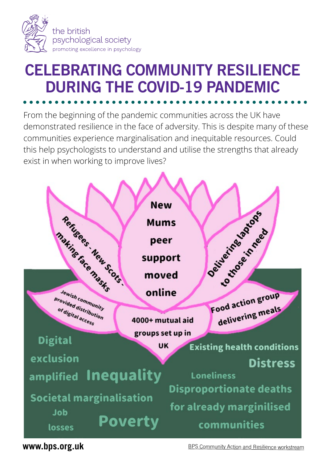

## **DURING THE COVID-19 PANDEMIC CELEBRATING COMMUNITY RESILIENCE** CELEBRATING COMMUNITY RESILIENCE From the beginning of the pandemic communities across the UK have **DURING THE COVID-19 PANDEMIC** DURING THE COVID-19 PANDEMIC

From the beginning of the pandemic communities across the UK have demonstrated resilience in the face of adversity. This is despite many of these communities experience marginalisation and inequitable resources. Could this help psychologists to understand and utilise the strengths that already exist in when working to improve lives?



**www.bps.org.uk** entertainment and Reson munity Action and Resilience workstream